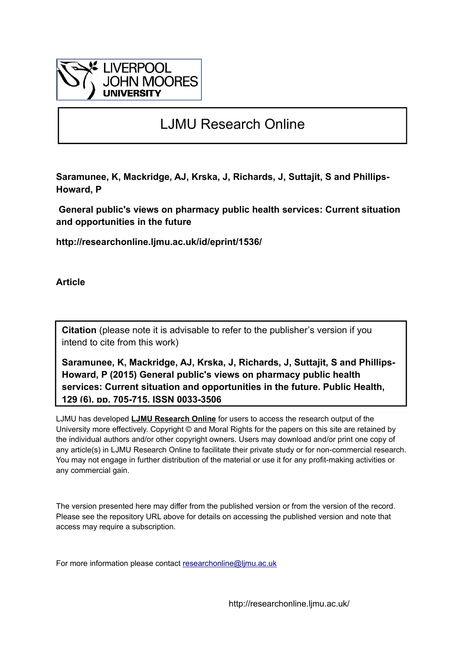

# LJMU Research Online

**Saramunee, K, Mackridge, AJ, Krska, J, Richards, J, Suttajit, S and Phillips-Howard, P**

 **General public's views on pharmacy public health services: Current situation and opportunities in the future**

**http://researchonline.ljmu.ac.uk/id/eprint/1536/**

**Article**

**Citation** (please note it is advisable to refer to the publisher's version if you intend to cite from this work)

**Saramunee, K, Mackridge, AJ, Krska, J, Richards, J, Suttajit, S and Phillips-Howard, P (2015) General public's views on pharmacy public health services: Current situation and opportunities in the future. Public Health, 129 (6). pp. 705-715. ISSN 0033-3506** 

LJMU has developed **[LJMU Research Online](http://researchonline.ljmu.ac.uk/)** for users to access the research output of the University more effectively. Copyright © and Moral Rights for the papers on this site are retained by the individual authors and/or other copyright owners. Users may download and/or print one copy of any article(s) in LJMU Research Online to facilitate their private study or for non-commercial research. You may not engage in further distribution of the material or use it for any profit-making activities or any commercial gain.

The version presented here may differ from the published version or from the version of the record. Please see the repository URL above for details on accessing the published version and note that access may require a subscription.

For more information please contact researchonline@limu.ac.uk

http://researchonline.ljmu.ac.uk/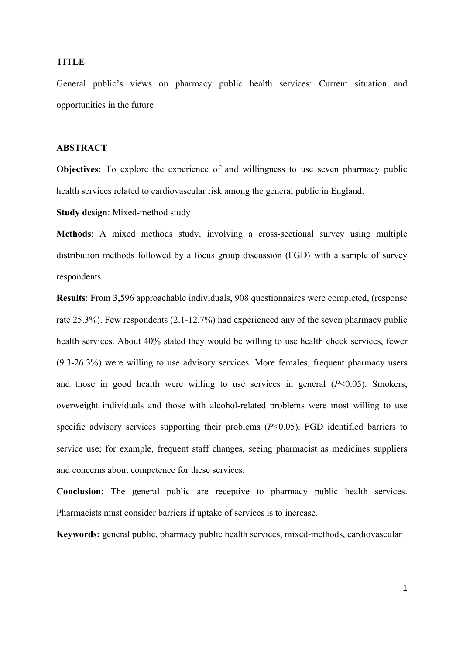#### **TITLE**

General public's views on pharmacy public health services: Current situation and opportunities in the future

#### **ABSTRACT**

**Objectives**: To explore the experience of and willingness to use seven pharmacy public health services related to cardiovascular risk among the general public in England.

**Study design**: Mixed-method study

**Methods**: A mixed methods study, involving a cross-sectional survey using multiple distribution methods followed by a focus group discussion (FGD) with a sample of survey respondents.

**Results**: From 3,596 approachable individuals, 908 questionnaires were completed, (response rate 25.3%). Few respondents (2.1-12.7%) had experienced any of the seven pharmacy public health services. About 40% stated they would be willing to use health check services, fewer (9.3-26.3%) were willing to use advisory services. More females, frequent pharmacy users and those in good health were willing to use services in general (*P*<0.05). Smokers, overweight individuals and those with alcohol-related problems were most willing to use specific advisory services supporting their problems (*P*<0.05). FGD identified barriers to service use; for example, frequent staff changes, seeing pharmacist as medicines suppliers and concerns about competence for these services.

**Conclusion**: The general public are receptive to pharmacy public health services. Pharmacists must consider barriers if uptake of services is to increase.

**Keywords:** general public, pharmacy public health services, mixed-methods, cardiovascular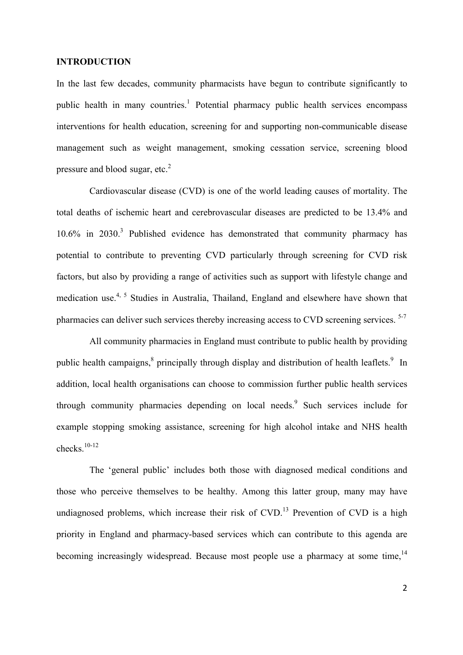## **INTRODUCTION**

In the last few decades, community pharmacists have begun to contribute significantly to public health in many countries.<sup>1</sup> Potential pharmacy public health services encompass interventions for health education, screening for and supporting non-communicable disease management such as weight management, smoking cessation service, screening blood pressure and blood sugar, etc.<sup>2</sup>

Cardiovascular disease (CVD) is one of the world leading causes of mortality. The total deaths of ischemic heart and cerebrovascular diseases are predicted to be 13.4% and  $10.6\%$  in 2030.<sup>3</sup> Published evidence has demonstrated that community pharmacy has potential to contribute to preventing CVD particularly through screening for CVD risk factors, but also by providing a range of activities such as support with lifestyle change and medication use.<sup>4, 5</sup> Studies in Australia, Thailand, England and elsewhere have shown that pharmacies can deliver such services thereby increasing access to CVD screening services.<sup>5-7</sup>

All community pharmacies in England must contribute to public health by providing public health campaigns,<sup>8</sup> principally through display and distribution of health leaflets.<sup>9</sup> In addition, local health organisations can choose to commission further public health services through community pharmacies depending on local needs.<sup>9</sup> Such services include for example stopping smoking assistance, screening for high alcohol intake and NHS health checks.10-12

The 'general public' includes both those with diagnosed medical conditions and those who perceive themselves to be healthy. Among this latter group, many may have undiagnosed problems, which increase their risk of  $CVD$ .<sup>13</sup> Prevention of  $CVD$  is a high priority in England and pharmacy-based services which can contribute to this agenda are becoming increasingly widespread. Because most people use a pharmacy at some time,  $14$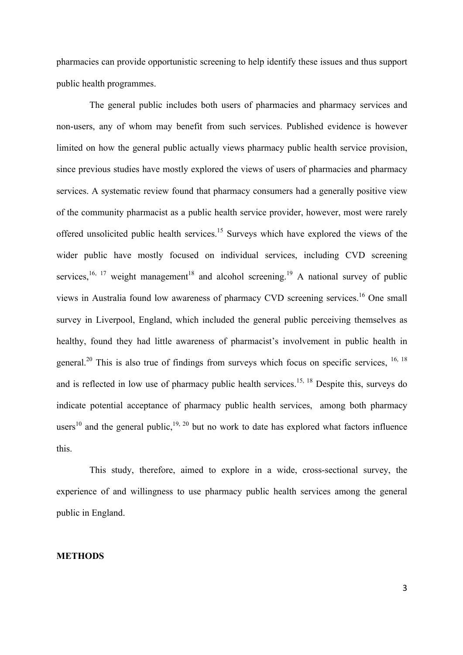pharmacies can provide opportunistic screening to help identify these issues and thus support public health programmes.

The general public includes both users of pharmacies and pharmacy services and non-users, any of whom may benefit from such services. Published evidence is however limited on how the general public actually views pharmacy public health service provision, since previous studies have mostly explored the views of users of pharmacies and pharmacy services. A systematic review found that pharmacy consumers had a generally positive view of the community pharmacist as a public health service provider, however, most were rarely offered unsolicited public health services.<sup>15</sup> Surveys which have explored the views of the wider public have mostly focused on individual services, including CVD screening services,  $16, 17$  weight management  $18$  and alcohol screening.  $19$  A national survey of public views in Australia found low awareness of pharmacy CVD screening services.<sup>16</sup> One small survey in Liverpool, England, which included the general public perceiving themselves as healthy, found they had little awareness of pharmacist's involvement in public health in general.<sup>20</sup> This is also true of findings from surveys which focus on specific services,  $16, 18$ and is reflected in low use of pharmacy public health services.<sup>15, 18</sup> Despite this, surveys do indicate potential acceptance of pharmacy public health services, among both pharmacy users<sup>10</sup> and the general public,<sup>19, 20</sup> but no work to date has explored what factors influence this.

This study, therefore, aimed to explore in a wide, cross-sectional survey, the experience of and willingness to use pharmacy public health services among the general public in England.

#### **METHODS**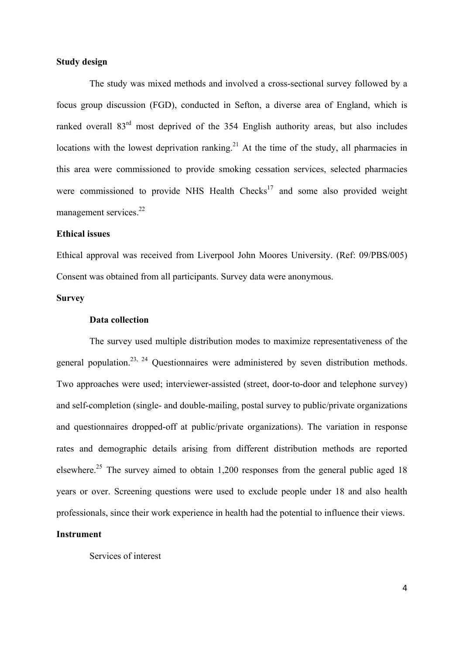## **Study design**

The study was mixed methods and involved a cross-sectional survey followed by a focus group discussion (FGD), conducted in Sefton, a diverse area of England, which is ranked overall 83<sup>rd</sup> most deprived of the 354 English authority areas, but also includes locations with the lowest deprivation ranking.<sup>21</sup> At the time of the study, all pharmacies in this area were commissioned to provide smoking cessation services, selected pharmacies were commissioned to provide NHS Health  $Checks<sup>17</sup>$  and some also provided weight management services.<sup>22</sup>

## **Ethical issues**

Ethical approval was received from Liverpool John Moores University. (Ref: 09/PBS/005) Consent was obtained from all participants. Survey data were anonymous.

## **Survey**

## **Data collection**

The survey used multiple distribution modes to maximize representativeness of the general population.<sup>23, 24</sup> Questionnaires were administered by seven distribution methods. Two approaches were used; interviewer-assisted (street, door-to-door and telephone survey) and self-completion (single- and double-mailing, postal survey to public/private organizations and questionnaires dropped-off at public/private organizations). The variation in response rates and demographic details arising from different distribution methods are reported elsewhere.<sup>25</sup> The survey aimed to obtain 1,200 responses from the general public aged 18 years or over. Screening questions were used to exclude people under 18 and also health professionals, since their work experience in health had the potential to influence their views.

## **Instrument**

Services of interest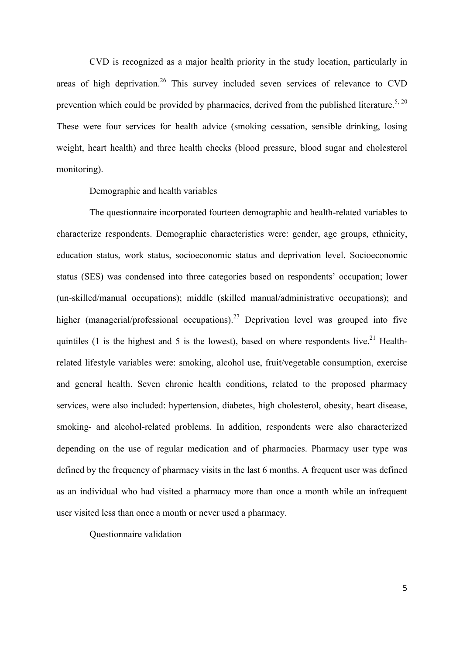CVD is recognized as a major health priority in the study location, particularly in areas of high deprivation.<sup>26</sup> This survey included seven services of relevance to CVD prevention which could be provided by pharmacies, derived from the published literature.<sup>5, 20</sup> These were four services for health advice (smoking cessation, sensible drinking, losing weight, heart health) and three health checks (blood pressure, blood sugar and cholesterol monitoring).

#### Demographic and health variables

The questionnaire incorporated fourteen demographic and health-related variables to characterize respondents. Demographic characteristics were: gender, age groups, ethnicity, education status, work status, socioeconomic status and deprivation level. Socioeconomic status (SES) was condensed into three categories based on respondents' occupation; lower (un-skilled/manual occupations); middle (skilled manual/administrative occupations); and higher (managerial/professional occupations).<sup>27</sup> Deprivation level was grouped into five quintiles (1 is the highest and 5 is the lowest), based on where respondents live.<sup>21</sup> Healthrelated lifestyle variables were: smoking, alcohol use, fruit/vegetable consumption, exercise and general health. Seven chronic health conditions, related to the proposed pharmacy services, were also included: hypertension, diabetes, high cholesterol, obesity, heart disease, smoking- and alcohol-related problems. In addition, respondents were also characterized depending on the use of regular medication and of pharmacies. Pharmacy user type was defined by the frequency of pharmacy visits in the last 6 months. A frequent user was defined as an individual who had visited a pharmacy more than once a month while an infrequent user visited less than once a month or never used a pharmacy.

Questionnaire validation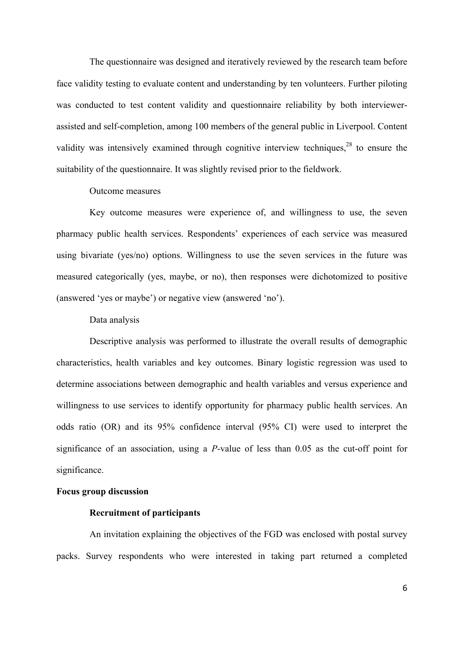The questionnaire was designed and iteratively reviewed by the research team before face validity testing to evaluate content and understanding by ten volunteers. Further piloting was conducted to test content validity and questionnaire reliability by both interviewerassisted and self-completion, among 100 members of the general public in Liverpool. Content validity was intensively examined through cognitive interview techniques,  $28$  to ensure the suitability of the questionnaire. It was slightly revised prior to the fieldwork.

#### Outcome measures

Key outcome measures were experience of, and willingness to use, the seven pharmacy public health services. Respondents' experiences of each service was measured using bivariate (yes/no) options. Willingness to use the seven services in the future was measured categorically (yes, maybe, or no), then responses were dichotomized to positive (answered 'yes or maybe') or negative view (answered 'no').

## Data analysis

Descriptive analysis was performed to illustrate the overall results of demographic characteristics, health variables and key outcomes. Binary logistic regression was used to determine associations between demographic and health variables and versus experience and willingness to use services to identify opportunity for pharmacy public health services. An odds ratio (OR) and its 95% confidence interval (95% CI) were used to interpret the significance of an association, using a *P*-value of less than 0.05 as the cut-off point for significance.

## **Focus group discussion**

#### **Recruitment of participants**

An invitation explaining the objectives of the FGD was enclosed with postal survey packs. Survey respondents who were interested in taking part returned a completed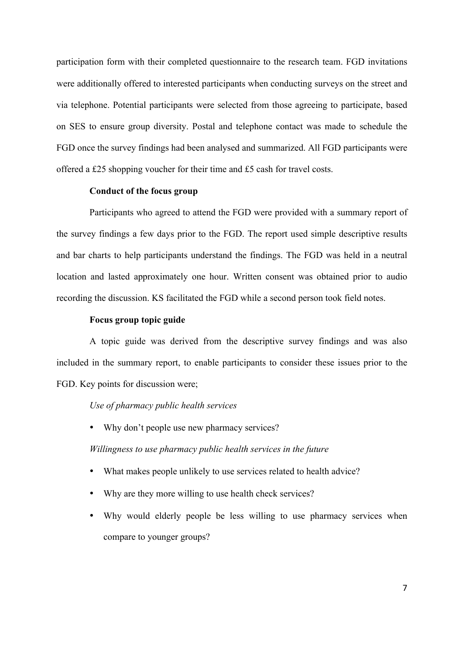participation form with their completed questionnaire to the research team. FGD invitations were additionally offered to interested participants when conducting surveys on the street and via telephone. Potential participants were selected from those agreeing to participate, based on SES to ensure group diversity. Postal and telephone contact was made to schedule the FGD once the survey findings had been analysed and summarized. All FGD participants were offered a £25 shopping voucher for their time and £5 cash for travel costs.

## **Conduct of the focus group**

Participants who agreed to attend the FGD were provided with a summary report of the survey findings a few days prior to the FGD. The report used simple descriptive results and bar charts to help participants understand the findings. The FGD was held in a neutral location and lasted approximately one hour. Written consent was obtained prior to audio recording the discussion. KS facilitated the FGD while a second person took field notes.

## **Focus group topic guide**

A topic guide was derived from the descriptive survey findings and was also included in the summary report, to enable participants to consider these issues prior to the FGD. Key points for discussion were;

## *Use of pharmacy public health services*

• Why don't people use new pharmacy services?

*Willingness to use pharmacy public health services in the future*

- What makes people unlikely to use services related to health advice?
- Why are they more willing to use health check services?
- Why would elderly people be less willing to use pharmacy services when compare to younger groups?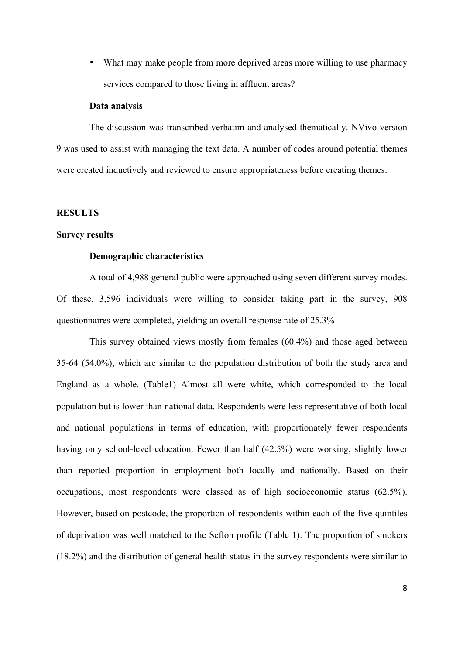• What may make people from more deprived areas more willing to use pharmacy services compared to those living in affluent areas?

#### **Data analysis**

The discussion was transcribed verbatim and analysed thematically. NVivo version 9 was used to assist with managing the text data. A number of codes around potential themes were created inductively and reviewed to ensure appropriateness before creating themes.

## **RESULTS**

## **Survey results**

#### **Demographic characteristics**

A total of 4,988 general public were approached using seven different survey modes. Of these, 3,596 individuals were willing to consider taking part in the survey, 908 questionnaires were completed, yielding an overall response rate of 25.3%

This survey obtained views mostly from females (60.4%) and those aged between 35-64 (54.0%), which are similar to the population distribution of both the study area and England as a whole. (Table1) Almost all were white, which corresponded to the local population but is lower than national data. Respondents were less representative of both local and national populations in terms of education, with proportionately fewer respondents having only school-level education. Fewer than half (42.5%) were working, slightly lower than reported proportion in employment both locally and nationally. Based on their occupations, most respondents were classed as of high socioeconomic status (62.5%). However, based on postcode, the proportion of respondents within each of the five quintiles of deprivation was well matched to the Sefton profile (Table 1). The proportion of smokers (18.2%) and the distribution of general health status in the survey respondents were similar to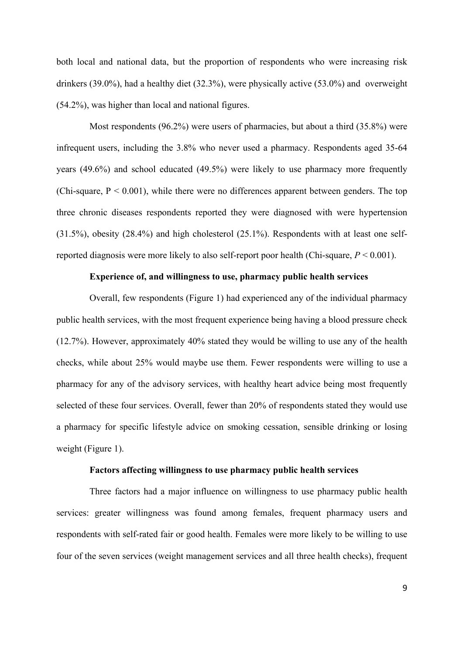both local and national data, but the proportion of respondents who were increasing risk drinkers (39.0%), had a healthy diet (32.3%), were physically active (53.0%) and overweight (54.2%), was higher than local and national figures.

Most respondents (96.2%) were users of pharmacies, but about a third (35.8%) were infrequent users, including the 3.8% who never used a pharmacy. Respondents aged 35-64 years (49.6%) and school educated (49.5%) were likely to use pharmacy more frequently (Chi-square,  $P < 0.001$ ), while there were no differences apparent between genders. The top three chronic diseases respondents reported they were diagnosed with were hypertension (31.5%), obesity (28.4%) and high cholesterol (25.1%). Respondents with at least one selfreported diagnosis were more likely to also self-report poor health (Chi-square, *P* < 0.001).

## **Experience of, and willingness to use, pharmacy public health services**

Overall, few respondents (Figure 1) had experienced any of the individual pharmacy public health services, with the most frequent experience being having a blood pressure check (12.7%). However, approximately 40% stated they would be willing to use any of the health checks, while about 25% would maybe use them. Fewer respondents were willing to use a pharmacy for any of the advisory services, with healthy heart advice being most frequently selected of these four services. Overall, fewer than 20% of respondents stated they would use a pharmacy for specific lifestyle advice on smoking cessation, sensible drinking or losing weight (Figure 1).

#### **Factors affecting willingness to use pharmacy public health services**

Three factors had a major influence on willingness to use pharmacy public health services: greater willingness was found among females, frequent pharmacy users and respondents with self-rated fair or good health. Females were more likely to be willing to use four of the seven services (weight management services and all three health checks), frequent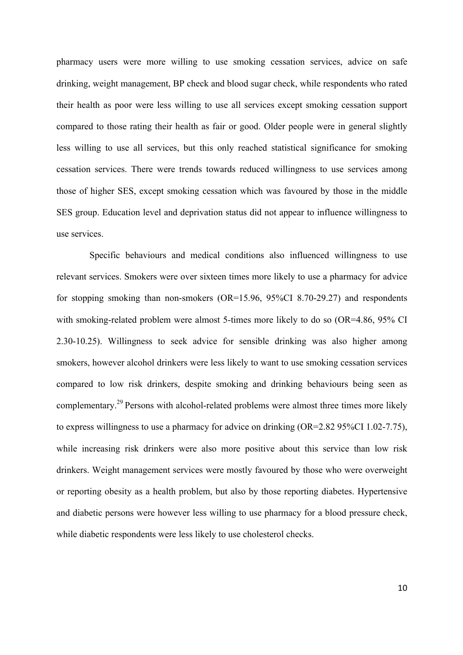pharmacy users were more willing to use smoking cessation services, advice on safe drinking, weight management, BP check and blood sugar check, while respondents who rated their health as poor were less willing to use all services except smoking cessation support compared to those rating their health as fair or good. Older people were in general slightly less willing to use all services, but this only reached statistical significance for smoking cessation services. There were trends towards reduced willingness to use services among those of higher SES, except smoking cessation which was favoured by those in the middle SES group. Education level and deprivation status did not appear to influence willingness to use services.

Specific behaviours and medical conditions also influenced willingness to use relevant services. Smokers were over sixteen times more likely to use a pharmacy for advice for stopping smoking than non-smokers (OR=15.96, 95%CI 8.70-29.27) and respondents with smoking-related problem were almost 5-times more likely to do so (OR=4.86, 95% CI 2.30-10.25). Willingness to seek advice for sensible drinking was also higher among smokers, however alcohol drinkers were less likely to want to use smoking cessation services compared to low risk drinkers, despite smoking and drinking behaviours being seen as complementary.<sup>29</sup> Persons with alcohol-related problems were almost three times more likely to express willingness to use a pharmacy for advice on drinking (OR=2.82 95%CI 1.02-7.75), while increasing risk drinkers were also more positive about this service than low risk drinkers. Weight management services were mostly favoured by those who were overweight or reporting obesity as a health problem, but also by those reporting diabetes. Hypertensive and diabetic persons were however less willing to use pharmacy for a blood pressure check, while diabetic respondents were less likely to use cholesterol checks.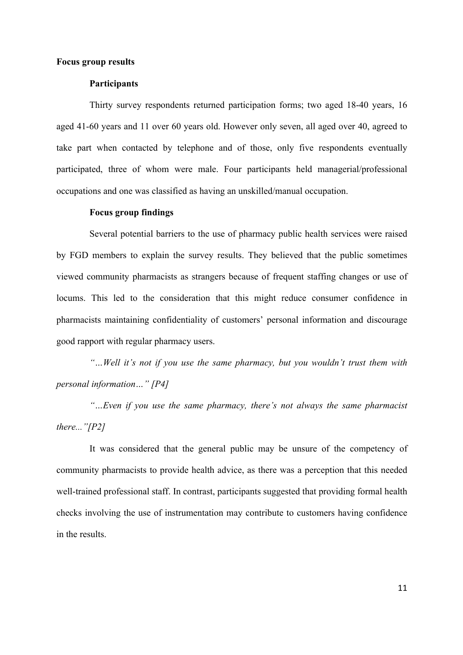#### **Focus group results**

#### **Participants**

Thirty survey respondents returned participation forms; two aged 18-40 years, 16 aged 41-60 years and 11 over 60 years old. However only seven, all aged over 40, agreed to take part when contacted by telephone and of those, only five respondents eventually participated, three of whom were male. Four participants held managerial/professional occupations and one was classified as having an unskilled/manual occupation.

#### **Focus group findings**

Several potential barriers to the use of pharmacy public health services were raised by FGD members to explain the survey results. They believed that the public sometimes viewed community pharmacists as strangers because of frequent staffing changes or use of locums. This led to the consideration that this might reduce consumer confidence in pharmacists maintaining confidentiality of customers' personal information and discourage good rapport with regular pharmacy users.

*"…Well it's not if you use the same pharmacy, but you wouldn't trust them with personal information…" [P4]* 

*"…Even if you use the same pharmacy, there's not always the same pharmacist there..."[P2]*

It was considered that the general public may be unsure of the competency of community pharmacists to provide health advice, as there was a perception that this needed well-trained professional staff. In contrast, participants suggested that providing formal health checks involving the use of instrumentation may contribute to customers having confidence in the results.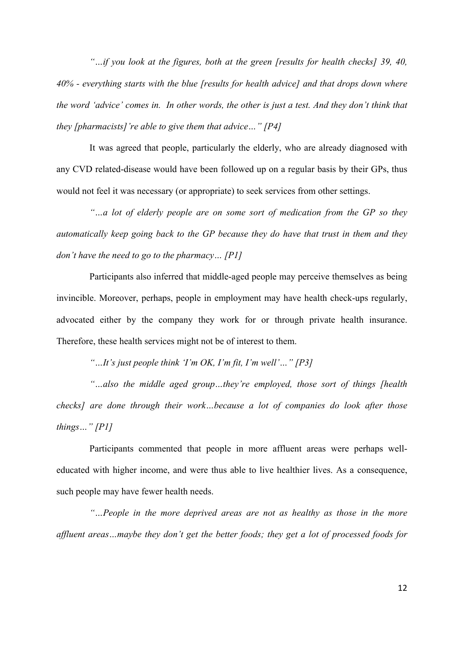*"…if you look at the figures, both at the green [results for health checks] 39, 40, 40% - everything starts with the blue [results for health advice] and that drops down where the word 'advice' comes in. In other words, the other is just a test. And they don't think that they [pharmacists]'re able to give them that advice…" [P4]*

It was agreed that people, particularly the elderly, who are already diagnosed with any CVD related-disease would have been followed up on a regular basis by their GPs, thus would not feel it was necessary (or appropriate) to seek services from other settings.

*"…a lot of elderly people are on some sort of medication from the GP so they automatically keep going back to the GP because they do have that trust in them and they don't have the need to go to the pharmacy… [P1]*

Participants also inferred that middle-aged people may perceive themselves as being invincible. Moreover, perhaps, people in employment may have health check-ups regularly, advocated either by the company they work for or through private health insurance. Therefore, these health services might not be of interest to them.

*"…It's just people think 'I'm OK, I'm fit, I'm well'…" [P3]*

*"…also the middle aged group…they're employed, those sort of things [health checks] are done through their work…because a lot of companies do look after those things…" [P1]*

Participants commented that people in more affluent areas were perhaps welleducated with higher income, and were thus able to live healthier lives. As a consequence, such people may have fewer health needs.

*"…People in the more deprived areas are not as healthy as those in the more affluent areas…maybe they don't get the better foods; they get a lot of processed foods for*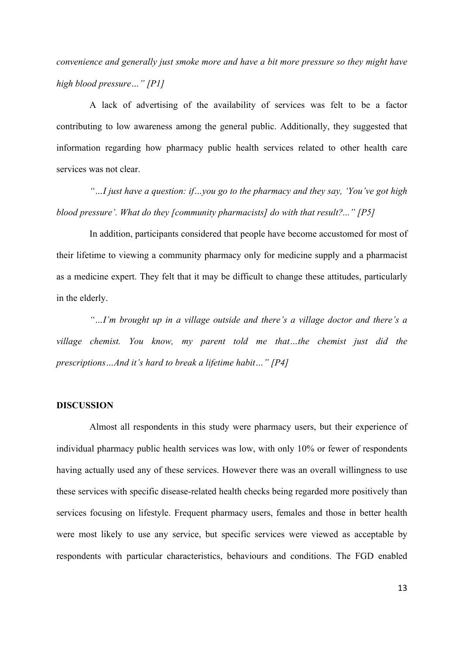*convenience and generally just smoke more and have a bit more pressure so they might have high blood pressure…" [P1]*

A lack of advertising of the availability of services was felt to be a factor contributing to low awareness among the general public. Additionally, they suggested that information regarding how pharmacy public health services related to other health care services was not clear.

*"…I just have a question: if…you go to the pharmacy and they say, 'You've got high blood pressure'. What do they [community pharmacists] do with that result?..." [P5]*

In addition, participants considered that people have become accustomed for most of their lifetime to viewing a community pharmacy only for medicine supply and a pharmacist as a medicine expert. They felt that it may be difficult to change these attitudes, particularly in the elderly.

*"…I'm brought up in a village outside and there's a village doctor and there's a village chemist. You know, my parent told me that…the chemist just did the prescriptions…And it's hard to break a lifetime habit…" [P4]*

## **DISCUSSION**

Almost all respondents in this study were pharmacy users, but their experience of individual pharmacy public health services was low, with only 10% or fewer of respondents having actually used any of these services. However there was an overall willingness to use these services with specific disease-related health checks being regarded more positively than services focusing on lifestyle. Frequent pharmacy users, females and those in better health were most likely to use any service, but specific services were viewed as acceptable by respondents with particular characteristics, behaviours and conditions. The FGD enabled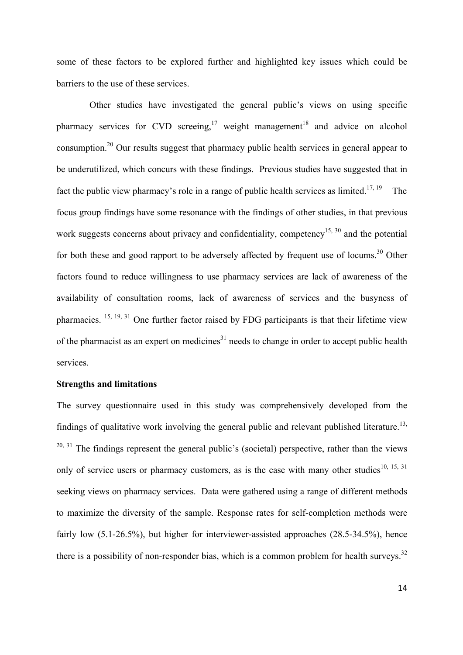some of these factors to be explored further and highlighted key issues which could be barriers to the use of these services.

Other studies have investigated the general public's views on using specific pharmacy services for CVD screeing,<sup>17</sup> weight management<sup>18</sup> and advice on alcohol consumption.<sup>20</sup> Our results suggest that pharmacy public health services in general appear to be underutilized, which concurs with these findings. Previous studies have suggested that in fact the public view pharmacy's role in a range of public health services as limited.<sup>17, 19</sup> The focus group findings have some resonance with the findings of other studies, in that previous work suggests concerns about privacy and confidentiality, competency<sup>15, 30</sup> and the potential for both these and good rapport to be adversely affected by frequent use of locums.<sup>30</sup> Other factors found to reduce willingness to use pharmacy services are lack of awareness of the availability of consultation rooms, lack of awareness of services and the busyness of pharmacies.  $15, 19, 31$  One further factor raised by FDG participants is that their lifetime view of the pharmacist as an expert on medicines<sup>31</sup> needs to change in order to accept public health services.

#### **Strengths and limitations**

The survey questionnaire used in this study was comprehensively developed from the findings of qualitative work involving the general public and relevant published literature.<sup>13,</sup>  $20, 31$  The findings represent the general public's (societal) perspective, rather than the views only of service users or pharmacy customers, as is the case with many other studies<sup>10, 15, 31</sup> seeking views on pharmacy services. Data were gathered using a range of different methods to maximize the diversity of the sample. Response rates for self-completion methods were fairly low (5.1-26.5%), but higher for interviewer-assisted approaches (28.5-34.5%), hence there is a possibility of non-responder bias, which is a common problem for health surveys.<sup>32</sup>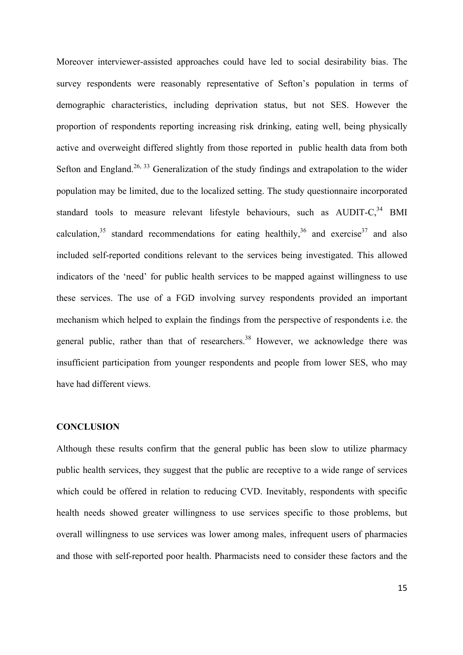Moreover interviewer-assisted approaches could have led to social desirability bias. The survey respondents were reasonably representative of Sefton's population in terms of demographic characteristics, including deprivation status, but not SES. However the proportion of respondents reporting increasing risk drinking, eating well, being physically active and overweight differed slightly from those reported in public health data from both Sefton and England.<sup>26, 33</sup> Generalization of the study findings and extrapolation to the wider population may be limited, due to the localized setting. The study questionnaire incorporated standard tools to measure relevant lifestyle behaviours, such as  $\text{AUDIT-C}^{34}$  BMI calculation,<sup>35</sup> standard recommendations for eating healthily,<sup>36</sup> and exercise<sup>37</sup> and also included self-reported conditions relevant to the services being investigated. This allowed indicators of the 'need' for public health services to be mapped against willingness to use these services. The use of a FGD involving survey respondents provided an important mechanism which helped to explain the findings from the perspective of respondents i.e. the general public, rather than that of researchers.<sup>38</sup> However, we acknowledge there was insufficient participation from younger respondents and people from lower SES, who may have had different views.

#### **CONCLUSION**

Although these results confirm that the general public has been slow to utilize pharmacy public health services, they suggest that the public are receptive to a wide range of services which could be offered in relation to reducing CVD. Inevitably, respondents with specific health needs showed greater willingness to use services specific to those problems, but overall willingness to use services was lower among males, infrequent users of pharmacies and those with self-reported poor health. Pharmacists need to consider these factors and the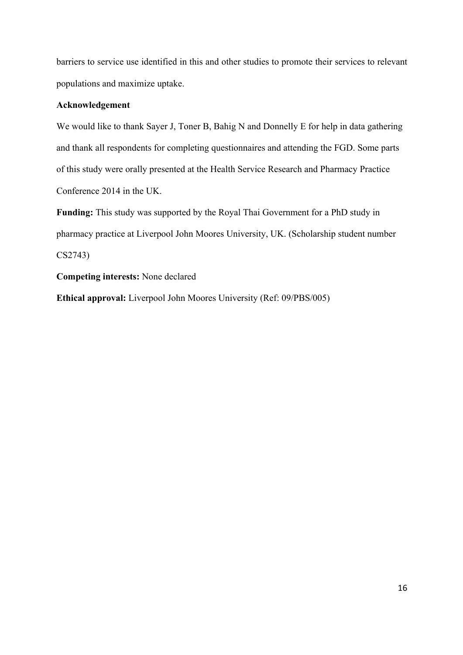barriers to service use identified in this and other studies to promote their services to relevant populations and maximize uptake.

## **Acknowledgement**

We would like to thank Sayer J, Toner B, Bahig N and Donnelly E for help in data gathering and thank all respondents for completing questionnaires and attending the FGD. Some parts of this study were orally presented at the Health Service Research and Pharmacy Practice Conference 2014 in the UK.

**Funding:** This study was supported by the Royal Thai Government for a PhD study in pharmacy practice at Liverpool John Moores University, UK. (Scholarship student number CS2743)

**Competing interests:** None declared

**Ethical approval:** Liverpool John Moores University (Ref: 09/PBS/005)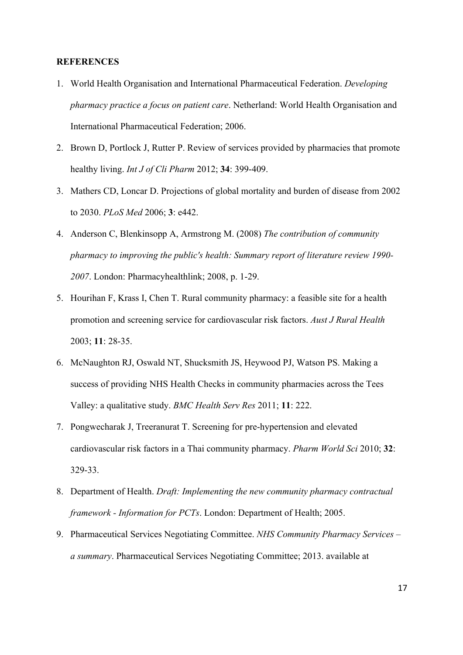#### **REFERENCES**

- 1. World Health Organisation and International Pharmaceutical Federation. *Developing pharmacy practice a focus on patient care*. Netherland: World Health Organisation and International Pharmaceutical Federation; 2006.
- 2. Brown D, Portlock J, Rutter P. Review of services provided by pharmacies that promote healthy living. *Int J of Cli Pharm* 2012; **34**: 399-409.
- 3. Mathers CD, Loncar D. Projections of global mortality and burden of disease from 2002 to 2030. *PLoS Med* 2006; **3**: e442.
- 4. Anderson C, Blenkinsopp A, Armstrong M. (2008) *The contribution of community pharmacy to improving the public's health: Summary report of literature review 1990- 2007*. London: Pharmacyhealthlink; 2008, p. 1-29.
- 5. Hourihan F, Krass I, Chen T. Rural community pharmacy: a feasible site for a health promotion and screening service for cardiovascular risk factors. *Aust J Rural Health* 2003; **11**: 28-35.
- 6. McNaughton RJ, Oswald NT, Shucksmith JS, Heywood PJ, Watson PS. Making a success of providing NHS Health Checks in community pharmacies across the Tees Valley: a qualitative study. *BMC Health Serv Res* 2011; **11**: 222.
- 7. Pongwecharak J, Treeranurat T. Screening for pre-hypertension and elevated cardiovascular risk factors in a Thai community pharmacy. *Pharm World Sci* 2010; **32**: 329-33.
- 8. Department of Health. *Draft: Implementing the new community pharmacy contractual framework - Information for PCTs*. London: Department of Health; 2005.
- 9. Pharmaceutical Services Negotiating Committee. *NHS Community Pharmacy Services – a summary*. Pharmaceutical Services Negotiating Committee; 2013. available at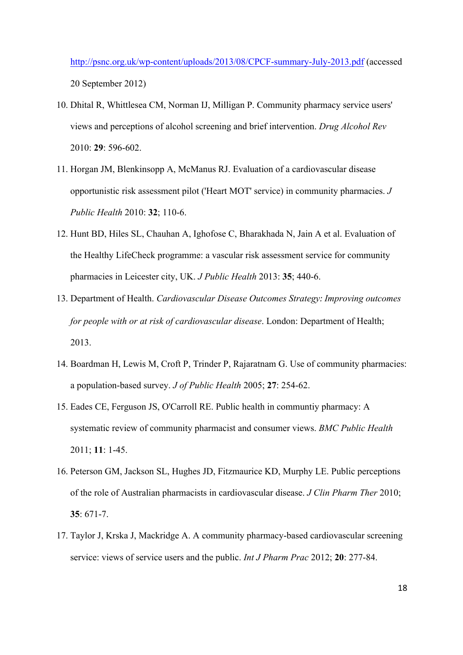http://psnc.org.uk/wp-content/uploads/2013/08/CPCF-summary-July-2013.pdf (accessed 20 September 2012)

- 10. Dhital R, Whittlesea CM, Norman IJ, Milligan P. Community pharmacy service users' views and perceptions of alcohol screening and brief intervention. *Drug Alcohol Rev* 2010: **29**: 596-602.
- 11. Horgan JM, Blenkinsopp A, McManus RJ. Evaluation of a cardiovascular disease opportunistic risk assessment pilot ('Heart MOT' service) in community pharmacies. *J Public Health* 2010: **32**; 110-6.
- 12. Hunt BD, Hiles SL, Chauhan A, Ighofose C, Bharakhada N, Jain A et al. Evaluation of the Healthy LifeCheck programme: a vascular risk assessment service for community pharmacies in Leicester city, UK. *J Public Health* 2013: **35**; 440-6.
- 13. Department of Health. *Cardiovascular Disease Outcomes Strategy: Improving outcomes for people with or at risk of cardiovascular disease*. London: Department of Health; 2013.
- 14. Boardman H, Lewis M, Croft P, Trinder P, Rajaratnam G. Use of community pharmacies: a population-based survey. *J of Public Health* 2005; **27**: 254-62.
- 15. Eades CE, Ferguson JS, O'Carroll RE. Public health in communtiy pharmacy: A systematic review of community pharmacist and consumer views. *BMC Public Health* 2011; **11**: 1-45.
- 16. Peterson GM, Jackson SL, Hughes JD, Fitzmaurice KD, Murphy LE. Public perceptions of the role of Australian pharmacists in cardiovascular disease. *J Clin Pharm Ther* 2010; **35**: 671-7.
- 17. Taylor J, Krska J, Mackridge A. A community pharmacy-based cardiovascular screening service: views of service users and the public. *Int J Pharm Prac* 2012; **20**: 277-84.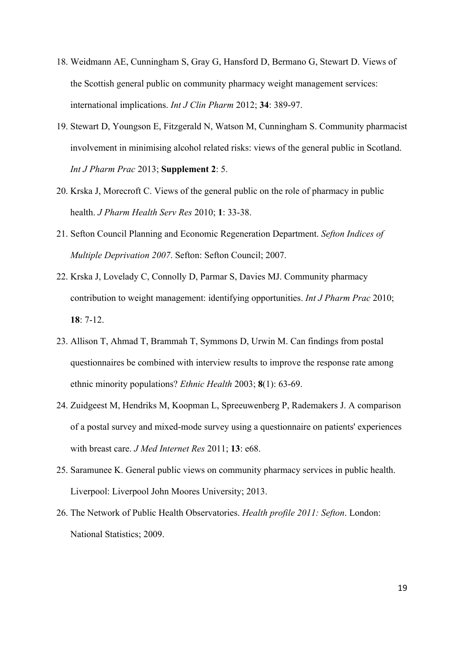- 18. Weidmann AE, Cunningham S, Gray G, Hansford D, Bermano G, Stewart D. Views of the Scottish general public on community pharmacy weight management services: international implications. *Int J Clin Pharm* 2012; **34**: 389-97.
- 19. Stewart D, Youngson E, Fitzgerald N, Watson M, Cunningham S. Community pharmacist involvement in minimising alcohol related risks: views of the general public in Scotland. *Int J Pharm Prac* 2013; **Supplement 2**: 5.
- 20. Krska J, Morecroft C. Views of the general public on the role of pharmacy in public health. *J Pharm Health Serv Res* 2010; **1**: 33-38.
- 21. Sefton Council Planning and Economic Regeneration Department. *Sefton Indices of Multiple Deprivation 2007*. Sefton: Sefton Council; 2007.
- 22. Krska J, Lovelady C, Connolly D, Parmar S, Davies MJ. Community pharmacy contribution to weight management: identifying opportunities. *Int J Pharm Prac* 2010; **18**: 7-12.
- 23. Allison T, Ahmad T, Brammah T, Symmons D, Urwin M. Can findings from postal questionnaires be combined with interview results to improve the response rate among ethnic minority populations? *Ethnic Health* 2003; **8**(1): 63-69.
- 24. Zuidgeest M, Hendriks M, Koopman L, Spreeuwenberg P, Rademakers J. A comparison of a postal survey and mixed-mode survey using a questionnaire on patients' experiences with breast care. *J Med Internet Res* 2011; **13**: e68.
- 25. Saramunee K. General public views on community pharmacy services in public health. Liverpool: Liverpool John Moores University; 2013.
- 26. The Network of Public Health Observatories. *Health profile 2011: Sefton*. London: National Statistics; 2009.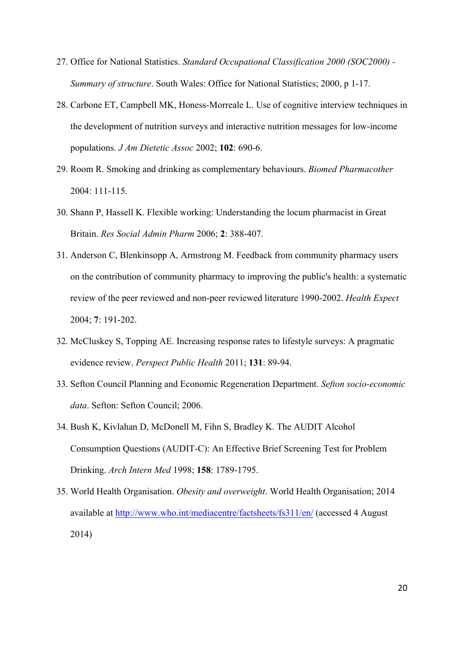- 27. Office for National Statistics. *Standard Occupational Classification 2000 (SOC2000) - Summary of structure*. South Wales: Office for National Statistics; 2000, p 1-17.
- 28. Carbone ET, Campbell MK, Honess-Morreale L. Use of cognitive interview techniques in the development of nutrition surveys and interactive nutrition messages for low-income populations. *J Am Dietetic Assoc* 2002; **102**: 690-6.
- 29. Room R. Smoking and drinking as complementary behaviours. *Biomed Pharmacother* 2004: 111-115.
- 30. Shann P, Hassell K. Flexible working: Understanding the locum pharmacist in Great Britain. *Res Social Admin Pharm* 2006; **2**: 388-407.
- 31. Anderson C, Blenkinsopp A, Armstrong M. Feedback from community pharmacy users on the contribution of community pharmacy to improving the public's health: a systematic review of the peer reviewed and non-peer reviewed literature 1990-2002. *Health Expect* 2004; **7**: 191-202.
- 32. McCluskey S, Topping AE. Increasing response rates to lifestyle surveys: A pragmatic evidence review. *Perspect Public Health* 2011; **131**: 89-94.
- 33. Sefton Council Planning and Economic Regeneration Department. *Sefton socio-economic data*. Sefton: Sefton Council; 2006.
- 34. Bush K, Kivlahan D, McDonell M, Fihn S, Bradley K. The AUDIT Alcohol Consumption Questions (AUDIT-C): An Effective Brief Screening Test for Problem Drinking. *Arch Intern Med* 1998; **158**: 1789-1795.
- 35. World Health Organisation. *Obesity and overweight*. World Health Organisation; 2014 available at http://www.who.int/mediacentre/factsheets/fs311/en/ (accessed 4 August 2014)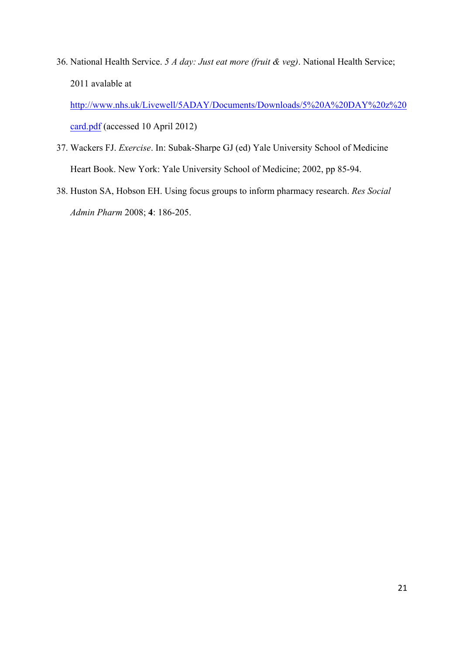36. National Health Service. *5 A day: Just eat more (fruit & veg)*. National Health Service; 2011 avalable at

http://www.nhs.uk/Livewell/5ADAY/Documents/Downloads/5%20A%20DAY%20z%20 card.pdf (accessed 10 April 2012)

- 37. Wackers FJ. *Exercise*. In: Subak-Sharpe GJ (ed) Yale University School of Medicine Heart Book. New York: Yale University School of Medicine; 2002, pp 85-94.
- 38. Huston SA, Hobson EH. Using focus groups to inform pharmacy research. *Res Social Admin Pharm* 2008; **4**: 186-205.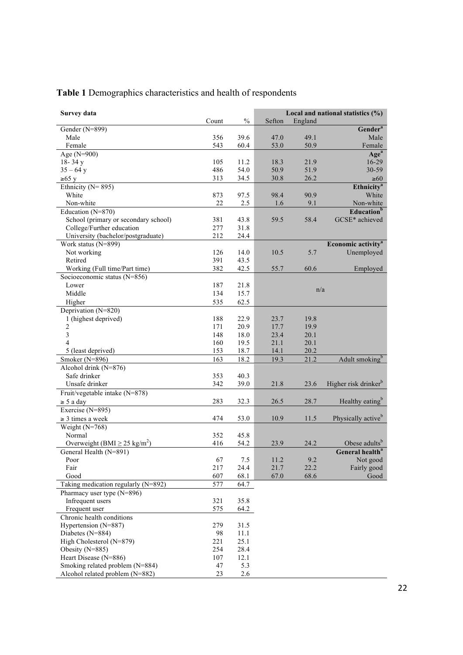| Survey data                                   |           |             | Local and national statistics $(\% )$ |             |                                  |  |  |  |
|-----------------------------------------------|-----------|-------------|---------------------------------------|-------------|----------------------------------|--|--|--|
|                                               | Count     | $\%$        | Sefton                                | England     |                                  |  |  |  |
| Gender (N=899)                                |           |             |                                       |             | Gender <sup>a</sup>              |  |  |  |
| Male                                          | 356       | 39.6        | 47.0                                  | 49.1        | Male                             |  |  |  |
| Female                                        | 543       | 60.4        | 53.0                                  | 50.9        | Female                           |  |  |  |
| Age (N=900)                                   |           |             |                                       |             | Age <sup>a</sup>                 |  |  |  |
| $18 - 34y$                                    | 105       | 11.2        | 18.3                                  | 21.9        | 16-29                            |  |  |  |
| $35 - 64$ y                                   | 486       | 54.0        | 50.9                                  | 51.9        | 30-59                            |  |  |  |
| ≥65 y                                         | 313       | 34.5        | 30.8                                  | 26.2        | $\geq 60$                        |  |  |  |
| Ethnicity ( $N = 895$ )                       |           |             |                                       |             | <b>Ethnicity<sup>a</sup></b>     |  |  |  |
| White                                         | 873       | 97.5        | 98.4                                  | 90.9        | White                            |  |  |  |
| Non-white                                     | 22        | 2.5         | 1.6                                   | 9.1         | Non-white                        |  |  |  |
| Education (N=870)                             |           |             |                                       |             | <b>Education</b> <sup>b</sup>    |  |  |  |
| School (primary or secondary school)          | 381       | 43.8        | 59.5                                  | 58.4        | GCSE* achieved                   |  |  |  |
| College/Further education                     | 277       | 31.8        |                                       |             |                                  |  |  |  |
| University (bachelor/postgraduate)            | 212       | 24.4        |                                       |             |                                  |  |  |  |
| Work status (N=899)                           |           |             |                                       |             | Economic activity <sup>a</sup>   |  |  |  |
| Not working                                   | 126       | 14.0        | 10.5                                  | 5.7         | Unemployed                       |  |  |  |
| Retired                                       | 391       | 43.5        |                                       |             |                                  |  |  |  |
| Working (Full time/Part time)                 | 382       | 42.5        | 55.7                                  | 60.6        | Employed                         |  |  |  |
| Socioeconomic status (N=856)                  |           |             |                                       |             |                                  |  |  |  |
| Lower                                         | 187       | 21.8        |                                       |             |                                  |  |  |  |
| Middle                                        | 134       | 15.7        |                                       | n/a         |                                  |  |  |  |
| Higher                                        | 535       | 62.5        |                                       |             |                                  |  |  |  |
| Deprivation (N=820)                           |           |             |                                       |             |                                  |  |  |  |
| 1 (highest deprived)                          | 188       | 22.9        | 23.7                                  | 19.8        |                                  |  |  |  |
| $\overline{2}$                                | 171       | 20.9        | 17.7                                  | 19.9        |                                  |  |  |  |
| 3                                             | 148       | 18.0        | 23.4                                  | 20.1        |                                  |  |  |  |
| $\overline{4}$                                | 160       | 19.5        | 21.1                                  | 20.1        |                                  |  |  |  |
| 5 (least deprived)                            | 153       | 18.7        | 14.1                                  | 20.2        |                                  |  |  |  |
| Smoker (N=896)                                | 163       | 18.2        | 19.3                                  | 21.2        | Adult smoking <sup>b</sup>       |  |  |  |
| Alcohol drink (N=876)                         |           |             |                                       |             |                                  |  |  |  |
| Safe drinker                                  | 353       | 40.3        |                                       |             |                                  |  |  |  |
| Unsafe drinker                                | 342       | 39.0        | 21.8                                  | 23.6        | Higher risk drinker <sup>b</sup> |  |  |  |
| Fruit/vegetable intake (N=878)                |           |             |                                       |             |                                  |  |  |  |
| $\geq$ 5 a day                                | 283       | 32.3        | 26.5                                  | 28.7        | Healthy eating <sup>b</sup>      |  |  |  |
| Exercise (N=895)                              |           |             |                                       |             |                                  |  |  |  |
| $\geq$ 3 times a week                         | 474       | 53.0        | 10.9                                  | 11.5        | Physically active <sup>b</sup>   |  |  |  |
| Weight $(N=768)$                              |           |             |                                       |             |                                  |  |  |  |
| Normal                                        | 352       | 45.8        |                                       |             |                                  |  |  |  |
| Overweight (BMI $\geq$ 25 kg/m <sup>2</sup> ) | 416       | 54.2        | 23.9                                  | 24.2        | Obese adults <sup>t</sup>        |  |  |  |
| General Health (N=891)                        |           |             |                                       |             | General health <sup>a</sup>      |  |  |  |
|                                               |           |             | 11.2                                  |             |                                  |  |  |  |
| Poor<br>Fair                                  | 67<br>217 | 7.5<br>24.4 | 21.7                                  | 9.2<br>22.2 | Not good<br>Fairly good          |  |  |  |
| Good                                          | 607       | 68.1        | 67.0                                  | 68.6        | Good                             |  |  |  |
| Taking medication regularly (N=892)           | 577       | 64.7        |                                       |             |                                  |  |  |  |
|                                               |           |             |                                       |             |                                  |  |  |  |
| Pharmacy user type (N=896)                    |           |             |                                       |             |                                  |  |  |  |
| Infrequent users                              | 321       | 35.8        |                                       |             |                                  |  |  |  |
| Frequent user                                 | 575       | 64.2        |                                       |             |                                  |  |  |  |
| Chronic health conditions                     |           |             |                                       |             |                                  |  |  |  |
| Hypertension (N=887)                          | 279       | 31.5        |                                       |             |                                  |  |  |  |
| Diabetes (N=884)                              | 98        | 11.1        |                                       |             |                                  |  |  |  |
| High Cholesterol (N=879)                      | 221       | 25.1        |                                       |             |                                  |  |  |  |
| Obesity (N=885)                               | 254       | 28.4        |                                       |             |                                  |  |  |  |
| Heart Disease (N=886)                         | 107       | 12.1        |                                       |             |                                  |  |  |  |
| Smoking related problem (N=884)               | 47        | 5.3         |                                       |             |                                  |  |  |  |
| Alcohol related problem (N=882)               | 23        | 2.6         |                                       |             |                                  |  |  |  |

## **Table 1** Demographics characteristics and health of respondents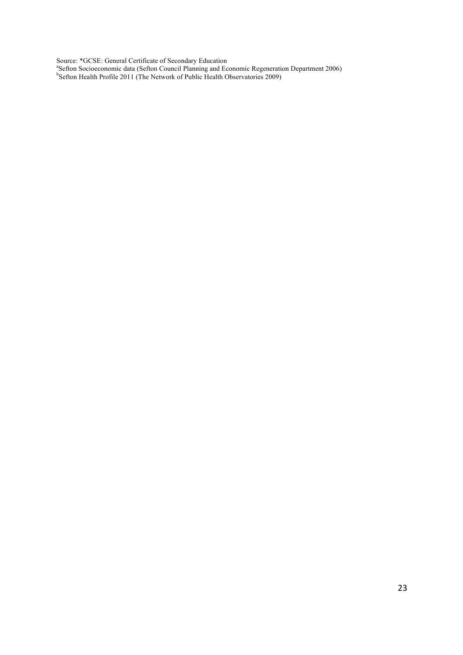Source: \*GCSE: General Certificate of Secondary Education<br><sup>a</sup>Sefton Socioeconomic data (Sefton Council Planning and Economic Regeneration Department 2006)<br><sup>b</sup>Sefton Health Profile 2011 (The Network of Public Health Observa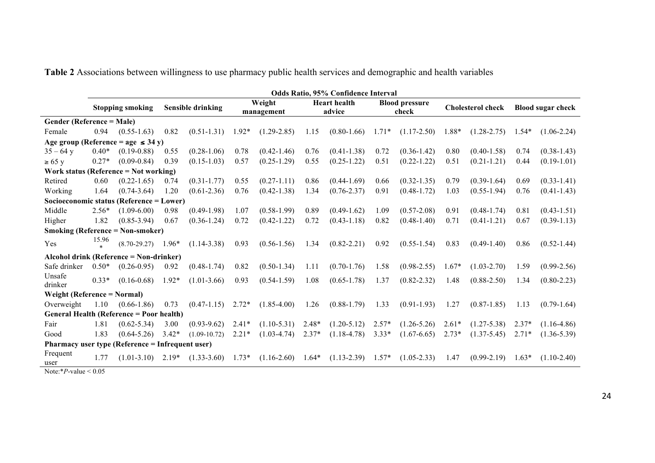**Table 2** Associations between willingness to use pharmacy public health services and demographic and health variables

|                                                                               | Odds Ratio, 95% Confidence Interval |                                         |                          |                     |                      |                 |                               |                 |                                |                 |                          |                 |                          |                 |
|-------------------------------------------------------------------------------|-------------------------------------|-----------------------------------------|--------------------------|---------------------|----------------------|-----------------|-------------------------------|-----------------|--------------------------------|-----------------|--------------------------|-----------------|--------------------------|-----------------|
|                                                                               | <b>Stopping smoking</b>             |                                         | <b>Sensible drinking</b> |                     | Weight<br>management |                 | <b>Heart</b> health<br>advice |                 | <b>Blood pressure</b><br>check |                 | <b>Cholesterol check</b> |                 | <b>Blood sugar check</b> |                 |
| Gender (Reference = Male)                                                     |                                     |                                         |                          |                     |                      |                 |                               |                 |                                |                 |                          |                 |                          |                 |
| Female                                                                        | 0.94                                | $(0.55 - 1.63)$                         | 0.82                     | $(0.51 - 1.31)$     | $1.92*$              | $(1.29 - 2.85)$ | 1.15                          | $(0.80-1.66)$   | $1.71*$                        | $(1.17-2.50)$   | 1.88*                    | $(1.28 - 2.75)$ | $1.54*$                  | $(1.06 - 2.24)$ |
|                                                                               |                                     | Age group (Reference = age $\leq$ 34 y) |                          |                     |                      |                 |                               |                 |                                |                 |                          |                 |                          |                 |
| $35 - 64$ y                                                                   | $0.40*$                             | $(0.19 - 0.88)$                         | 0.55                     | $(0.28 - 1.06)$     | 0.78                 | $(0.42 - 1.46)$ | 0.76                          | $(0.41 - 1.38)$ | 0.72                           | $(0.36 - 1.42)$ | 0.80                     | $(0.40 - 1.58)$ | 0.74                     | $(0.38 - 1.43)$ |
| $\geq 65$ y                                                                   | $0.27*$                             | $(0.09 - 0.84)$                         | 0.39                     | $(0.15 - 1.03)$     | 0.57                 | $(0.25 - 1.29)$ | 0.55                          | $(0.25 - 1.22)$ | 0.51                           | $(0.22 - 1.22)$ | 0.51                     | $(0.21 - 1.21)$ | 0.44                     | $(0.19-1.01)$   |
| Work status (Reference = $Not working$ )                                      |                                     |                                         |                          |                     |                      |                 |                               |                 |                                |                 |                          |                 |                          |                 |
| Retired                                                                       | 0.60                                | $(0.22 - 1.65)$                         | 0.74                     | $(0.31 - 1.77)$     | 0.55                 | $(0.27 - 1.11)$ | 0.86                          | $(0.44-1.69)$   | 0.66                           | $(0.32 - 1.35)$ | 0.79                     | $(0.39 - 1.64)$ | 0.69                     | $(0.33 - 1.41)$ |
| Working                                                                       | 1.64                                | $(0.74 - 3.64)$                         | 1.20                     | $(0.61 - 2.36)$     | 0.76                 | $(0.42 - 1.38)$ | 1.34                          | $(0.76 - 2.37)$ | 0.91                           | $(0.48 - 1.72)$ | 1.03                     | $(0.55 - 1.94)$ | 0.76                     | $(0.41 - 1.43)$ |
| Socioeconomic status (Reference = Lower)                                      |                                     |                                         |                          |                     |                      |                 |                               |                 |                                |                 |                          |                 |                          |                 |
| Middle                                                                        | $2.56*$                             | $(1.09-6.00)$                           | 0.98                     | $(0.49-1.98)$       | 1.07                 | $(0.58-1.99)$   | 0.89                          | $(0.49-1.62)$   | 1.09                           | $(0.57 - 2.08)$ | 0.91                     | $(0.48 - 1.74)$ | 0.81                     | $(0.43 - 1.51)$ |
| Higher                                                                        | 1.82                                | $(0.85 - 3.94)$                         | 0.67                     | $(0.36 - 1.24)$     | 0.72                 | $(0.42 - 1.22)$ | 0.72                          | $(0.43 - 1.18)$ | 0.82                           | $(0.48 - 1.40)$ | 0.71                     | $(0.41 - 1.21)$ | 0.67                     | $(0.39 - 1.13)$ |
| <b>Smoking (Reference = Non-smoker)</b>                                       |                                     |                                         |                          |                     |                      |                 |                               |                 |                                |                 |                          |                 |                          |                 |
| Yes                                                                           | 15.96                               | $(8.70 - 29.27)$                        | $1.96*$                  | $(1.14 - 3.38)$     | 0.93                 | $(0.56 - 1.56)$ | 1.34                          | $(0.82 - 2.21)$ | 0.92                           | $(0.55 - 1.54)$ | 0.83                     | $(0.49 - 1.40)$ | 0.86                     | $(0.52 - 1.44)$ |
|                                                                               |                                     | Alcohol drink (Reference = Non-drinker) |                          |                     |                      |                 |                               |                 |                                |                 |                          |                 |                          |                 |
| Safe drinker                                                                  | $0.50*$                             | $(0.26 - 0.95)$                         | 0.92                     | $(0.48 - 1.74)$     | 0.82                 | $(0.50 - 1.34)$ | 1.11                          | $(0.70 - 1.76)$ | 1.58                           | $(0.98 - 2.55)$ | $1.67*$                  | $(1.03 - 2.70)$ | 1.59                     | $(0.99 - 2.56)$ |
| Unsafe<br>drinker                                                             | $0.33*$                             | $(0.16 - 0.68)$                         | $1.92*$                  | $(1.01-3.66)$       | 0.93                 | $(0.54 - 1.59)$ | 1.08                          | $(0.65 - 1.78)$ | 1.37                           | $(0.82 - 2.32)$ | 1.48                     | $(0.88 - 2.50)$ | 1.34                     | $(0.80 - 2.23)$ |
| Weight (Reference = Normal)                                                   |                                     |                                         |                          |                     |                      |                 |                               |                 |                                |                 |                          |                 |                          |                 |
| Overweight                                                                    | 1.10                                | $(0.66 - 1.86)$                         | 0.73                     | $(0.47-1.15)$ 2.72* |                      | $(1.85-4.00)$   | 1.26                          | $(0.88 - 1.79)$ | 1.33                           | $(0.91 - 1.93)$ | 1.27                     | $(0.87 - 1.85)$ | 1.13                     | $(0.79 - 1.64)$ |
| General Health (Reference = Poor health)                                      |                                     |                                         |                          |                     |                      |                 |                               |                 |                                |                 |                          |                 |                          |                 |
| Fair                                                                          | 1.81                                | $(0.62 - 5.34)$                         | 3.00                     | $(0.93 - 9.62)$     | $2.41*$              | $(1.10-5.31)$   | $2.48*$                       | $(1.20 - 5.12)$ | $2.57*$                        | $(1.26 - 5.26)$ | $2.61*$                  | $(1.27 - 5.38)$ | $2.37*$                  | $(1.16 - 4.86)$ |
| Good                                                                          | 1.83                                | $(0.64 - 5.26)$                         | $3.42*$                  | $(1.09-10.72)$      | $2.21*$              | $(1.03 - 4.74)$ | $2.37*$                       | $(1.18 - 4.78)$ | $3.33*$                        | $(1.67 - 6.65)$ | $2.73*$                  | $(1.37 - 5.45)$ | $2.71*$                  | $(1.36 - 5.39)$ |
| <b>Pharmacy user type (Reference = Infrequent user)</b>                       |                                     |                                         |                          |                     |                      |                 |                               |                 |                                |                 |                          |                 |                          |                 |
| Frequent<br>user<br>$\mathbf{M}$ , $\mathbf{M}$ , $\mathbf{M}$ , $\mathbf{M}$ | 1.77                                | $(1.01 - 3.10)$                         | $2.19*$                  | $(1.33 - 3.60)$     | $1.73*$              | $(1.16 - 2.60)$ | $1.64*$                       | $(1.13 - 2.39)$ | $1.57*$                        | $(1.05 - 2.33)$ | 1.47                     | $(0.99 - 2.19)$ | $1.63*$                  | $(1.10-2.40)$   |

Note:\**P*-value < 0.05